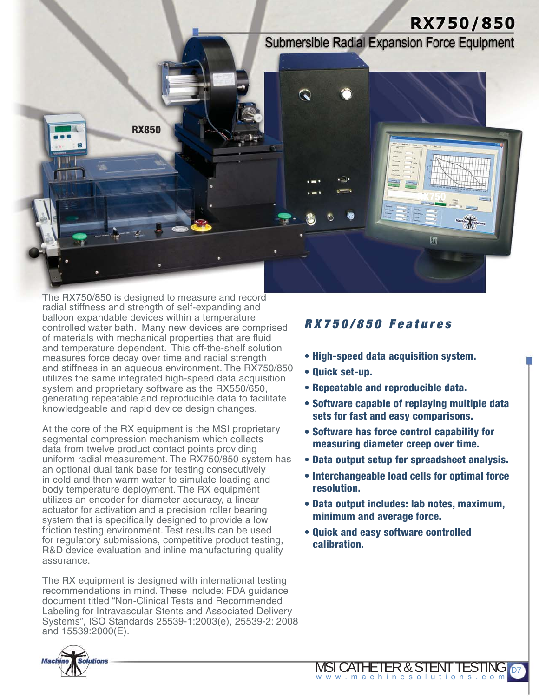# **RX750/850**

**RX750**





**RX850**

At the core of the RX equipment is the MSI proprietary segmental compression mechanism which collects data from twelve product contact points providing uniform radial measurement. The RX750/850 system has an optional dual tank base for testing consecutively in cold and then warm water to simulate loading and body temperature deployment. The RX equipment utilizes an encoder for diameter accuracy, a linear actuator for activation and a precision roller bearing system that is specifically designed to provide a low friction testing environment. Test results can be used for regulatory submissions, competitive product testing, R&D device evaluation and inline manufacturing quality assurance.

The RX equipment is designed with international testing recommendations in mind. These include: FDA guidance document titled "Non-Clinical Tests and Recommended Labeling for Intravascular Stents and Associated Delivery Systems", ISO Standards 25539-1:2003(e), 25539-2: 2008 and 15539:2000(E).

## *RX750/850 Features*

- **High-speed data acquisition system.**
- **Quick set-up.**

↷

- **Repeatable and reproducible data.**
- **Software capable of replaying multiple data sets for fast and easy comparisons.**
- **Software has force control capability for measuring diameter creep over time.**
- **Data output setup for spreadsheet analysis.**
- **Interchangeable load cells for optimal force resolution.**
- **Data output includes: lab notes, maximum, minimum and average force.**
- **Quick and easy software controlled calibration.**